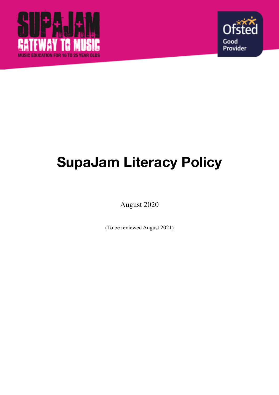



# **SupaJam Literacy Policy**

August 2020

(To be reviewed August 2021)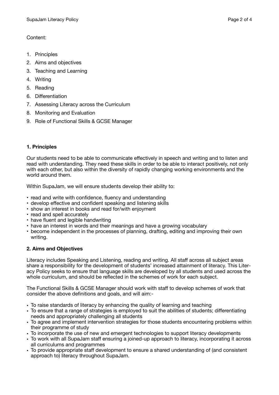# Content:

- 1. Principles
- 2. Aims and objectives
- 3. Teaching and Learning
- 4. Writing
- 5. Reading
- 6. Differentiation
- 7. Assessing Literacy across the Curriculum
- 8. Monitoring and Evaluation
- 9. Role of Functional Skills & GCSE Manager

# **1. Principles**

Our students need to be able to communicate effectively in speech and writing and to listen and read with understanding. They need these skills in order to be able to interact positively, not only with each other, but also within the diversity of rapidly changing working environments and the world around them.

Within SupaJam, we will ensure students develop their ability to:

- read and write with confidence, fluency and understanding
- develop effective and confident speaking and listening skills
- show an interest in books and read for/with enjoyment
- read and spell accurately
- have fluent and legible handwriting
- have an interest in words and their meanings and have a growing vocabulary
- become independent in the processes of planning, drafting, editing and improving their own writing.

# **2. Aims and Objectives**

Literacy includes Speaking and Listening, reading and writing. All staff across all subject areas share a responsibility for the development of students' increased attainment of literacy. This Literacy Policy seeks to ensure that language skills are developed by all students and used across the whole curriculum, and should be reflected in the schemes of work for each subject.

The Functional Skills & GCSE Manager should work with staff to develop schemes of work that consider the above definitions and goals, and will aim:-

- To raise standards of literacy by enhancing the quality of learning and teaching
- To ensure that a range of strategies is employed to suit the abilities of students; differentiating needs and appropriately challenging all students
- To agree and implement intervention strategies for those students encountering problems within their programme of study
- To incorporate the use of new and emergent technologies to support literacy developments
- To work with all SupaJam staff ensuring a joined-up approach to literacy, incorporating it across all curriculums and programmes
- To provide appropriate staff development to ensure a shared understanding of (and consistent approach to) literacy throughout SupaJam.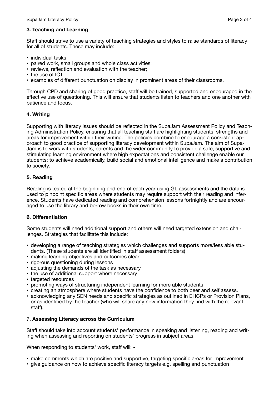## **3. Teaching and Learning**

Staff should strive to use a variety of teaching strategies and styles to raise standards of literacy for all of students. These may include:

- individual tasks
- paired work, small groups and whole class activities;
- reviews, reflection and evaluation with the teacher;
- the use of ICT
- examples of different punctuation on display in prominent areas of their classrooms.

Through CPD and sharing of good practice, staff will be trained, supported and encouraged in the effective use of questioning. This will ensure that students listen to teachers and one another with patience and focus.

## **4. Writing**

Supporting with literacy issues should be reflected in the SupaJam Assessment Policy and Teaching Administration Policy, ensuring that all teaching staff are highlighting students' strengths and areas for improvement within their writing. The policies combine to encourage a consistent approach to good practice of supporting literacy development within SupaJam. The aim of Supa-Jam is to work with students, parents and the wider community to provide a safe, supportive and stimulating learning environment where high expectations and consistent challenge enable our students: to achieve academically, build social and emotional intelligence and make a contribution to society.

## **5. Reading**

Reading is tested at the beginning and end of each year using GL assessments and the data is used to pinpoint specific areas where students may require support with their reading and inference. Students have dedicated reading and comprehension lessons fortnightly and are encouraged to use the library and borrow books in their own time.

## **6. Differentiation**

Some students will need additional support and others will need targeted extension and challenges. Strategies that facilitate this include:

- developing a range of teaching strategies which challenges and supports more/less able students. (These students are all identified in staff assessment folders)
- making learning objectives and outcomes clear
- rigorous questioning during lessons
- adjusting the demands of the task as necessary
- the use of additional support where necessary
- targeted resources
- promoting ways of structuring independent learning for more able students
- creating an atmosphere where students have the confidence to both peer and self assess.
- acknowledging any SEN needs and specific strategies as outlined in EHCPs or Provision Plans, or as identified by the teacher (who will share any new information they find with the relevant staff).

## 7**. Assessing Literacy across the Curriculum**

Staff should take into account students' performance in speaking and listening, reading and writing when assessing and reporting on students' progress in subject areas.

When responding to students' work, staff will: -

- make comments which are positive and supportive, targeting specific areas for improvement
- give guidance on how to achieve specific literacy targets e.g. spelling and punctuation